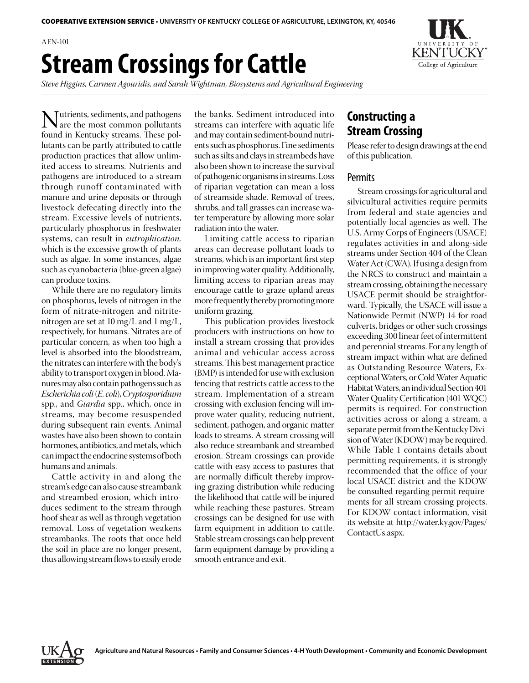AEN-101 **Stream Crossings for Cattle**

*Steve Higgins, Carmen Agouridis, and Sarah Wightman, Biosystems and Agricultural Engineering*

**Nutrients, sediments, and pathogens**<br>found in Kentucky streams. These pol found in Kentucky streams. These pollutants can be partly attributed to cattle production practices that allow unlimited access to streams. Nutrients and pathogens are introduced to a stream through runoff contaminated with manure and urine deposits or through livestock defecating directly into the stream. Excessive levels of nutrients, particularly phosphorus in freshwater systems, can result in *eutrophication,*  which is the excessive growth of plants such as algae. In some instances, algae such as cyanobacteria (blue-green algae) can produce toxins.

While there are no regulatory limits on phosphorus, levels of nitrogen in the form of nitrate-nitrogen and nitritenitrogen are set at 10 mg/L and 1 mg/L, respectively, for humans. Nitrates are of particular concern, as when too high a level is absorbed into the bloodstream, the nitrates can interfere with the body's ability to transport oxygen in blood. Manures may also contain pathogens such as *Escherichia coli* (*E. coli*), *Cryptosporidium*  spp., and *Giardia* spp., which, once in streams, may become resuspended during subsequent rain events. Animal wastes have also been shown to contain hormones, antibiotics, and metals, which can impact the endocrine systems of both humans and animals.

Cattle activity in and along the stream's edge can also cause streambank and streambed erosion, which introduces sediment to the stream through hoof shear as well as through vegetation removal. Loss of vegetation weakens streambanks. The roots that once held the soil in place are no longer present, thus allowing stream flows to easily erode

the banks. Sediment introduced into streams can interfere with aquatic life and may contain sediment-bound nutrients such as phosphorus. Fine sediments such as silts and clays in streambeds have also been shown to increase the survival of pathogenic organisms in streams. Loss of riparian vegetation can mean a loss of streamside shade. Removal of trees, shrubs, and tall grasses can increase water temperature by allowing more solar radiation into the water.

Limiting cattle access to riparian areas can decrease pollutant loads to streams, which is an important first step in improving water quality. Additionally, limiting access to riparian areas may encourage cattle to graze upland areas more frequently thereby promoting more uniform grazing.

This publication provides livestock producers with instructions on how to install a stream crossing that provides animal and vehicular access across streams. This best management practice (BMP) is intended for use with exclusion fencing that restricts cattle access to the stream. Implementation of a stream crossing with exclusion fencing will improve water quality, reducing nutrient, sediment, pathogen, and organic matter loads to streams. A stream crossing will also reduce streambank and streambed erosion. Stream crossings can provide cattle with easy access to pastures that are normally difficult thereby improving grazing distribution while reducing the likelihood that cattle will be injured while reaching these pastures. Stream crossings can be designed for use with farm equipment in addition to cattle. Stable stream crossings can help prevent farm equipment damage by providing a smooth entrance and exit.

# **Constructing a Stream Crossing**

Please refer to design drawings at the end of this publication.

#### **Permits**

Stream crossings for agricultural and silvicultural activities require permits from federal and state agencies and potentially local agencies as well. The U.S. Army Corps of Engineers (USACE) regulates activities in and along-side streams under Section 404 of the Clean Water Act (CWA). If using a design from the NRCS to construct and maintain a stream crossing, obtaining the necessary USACE permit should be straightforward. Typically, the USACE will issue a Nationwide Permit (NWP) 14 for road culverts, bridges or other such crossings exceeding 300 linear feet of intermittent and perennial streams. For any length of stream impact within what are defined as Outstanding Resource Waters, Exceptional Waters, or Cold Water Aquatic Habitat Waters, an individual Section 401 Water Quality Certification (401 WQC) permits is required. For construction activities across or along a stream, a separate permit from the Kentucky Division of Water (KDOW) may be required. While Table 1 contains details about permitting requirements, it is strongly recommended that the office of your local USACE district and the KDOW be consulted regarding permit requirements for all stream crossing projects. For KDOW contact information, visit its website at http://water.ky.gov/Pages/ ContactUs.aspx.



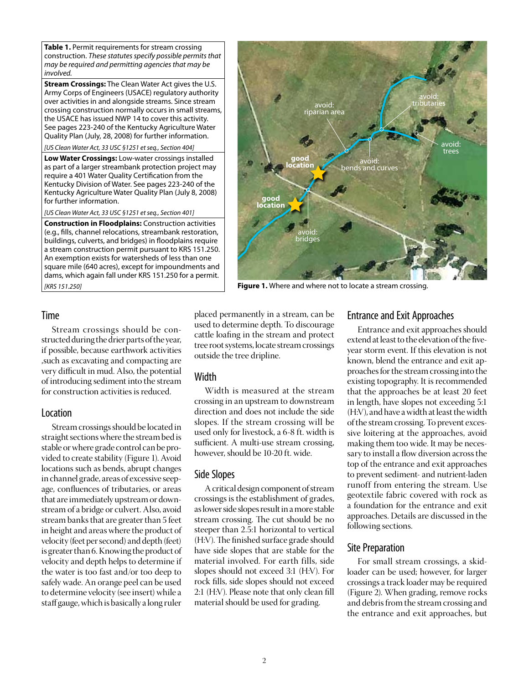**Table 1.** Permit requirements for stream crossing construction. *These statutes specify possible permits that may be required and permitting agencies that may be involved.*

**Stream Crossings:** The Clean Water Act gives the U.S. Army Corps of Engineers (USACE) regulatory authority over activities in and alongside streams. Since stream crossing construction normally occurs in small streams, the USACE has issued NWP 14 to cover this activity. See pages 223-240 of the Kentucky Agriculture Water Quality Plan (July, 28, 2008) for further information.

*[US Clean Water Act, 33 USC §1251 et seq., Section 404]*

**Low Water Crossings:** Low-water crossings installed as part of a larger streambank protection project may require a 401 Water Quality Certification from the Kentucky Division of Water. See pages 223-240 of the Kentucky Agriculture Water Quality Plan (July 8, 2008) for further information.

*[US Clean Water Act, 33 USC §1251 et seq., Section 401]*

**Construction in Floodplains:** Construction activities (e.g., fills, channel relocations, streambank restoration, buildings, culverts, and bridges) in floodplains require a stream construction permit pursuant to KRS 151.250. An exemption exists for watersheds of less than one square mile (640 acres), except for impoundments and dams, which again fall under KRS 151.250 for a permit. *[KRS 151.250]*



**Figure 1.** Where and where not to locate a stream crossing.

#### Time

Stream crossings should be constructed during the drier parts of the year, if possible, because earthwork activities ,such as excavating and compacting are very difficult in mud. Also, the potential of introducing sediment into the stream for construction activities is reduced.

#### Location

Stream crossings should be located in straight sections where the stream bed is stable or where grade control can be provided to create stability (Figure 1). Avoid locations such as bends, abrupt changes in channel grade, areas of excessive seepage, confluences of tributaries, or areas that are immediately upstream or downstream of a bridge or culvert. Also, avoid stream banks that are greater than 5 feet in height and areas where the product of velocity (feet per second) and depth (feet) is greater than 6. Knowing the product of velocity and depth helps to determine if the water is too fast and/or too deep to safely wade. An orange peel can be used to determine velocity (see insert) while a staff gauge, which is basically a long ruler placed permanently in a stream, can be used to determine depth. To discourage cattle loafing in the stream and protect tree root systems, locate stream crossings outside the tree dripline.

#### **Width**

Width is measured at the stream crossing in an upstream to downstream direction and does not include the side slopes. If the stream crossing will be used only for livestock, a 6-8 ft. width is sufficient. A multi-use stream crossing, however, should be 10-20 ft. wide.

## Side Slopes

A critical design component of stream crossings is the establishment of grades, as lower side slopes result in a more stable stream crossing. The cut should be no steeper than 2.5:1 horizontal to vertical (H:V). The finished surface grade should have side slopes that are stable for the material involved. For earth fills, side slopes should not exceed 3:1 (H:V). For rock fills, side slopes should not exceed 2:1 (H:V). Please note that only clean fill material should be used for grading.

#### Entrance and Exit Approaches

Entrance and exit approaches should extend at least to the elevation of the fiveyear storm event. If this elevation is not known, blend the entrance and exit approaches for the stream crossing into the existing topography. It is recommended that the approaches be at least 20 feet in length, have slopes not exceeding 5:1 (H:V), and have a width at least the width of the stream crossing. To prevent excessive loitering at the approaches, avoid making them too wide. It may be necessary to install a flow diversion across the top of the entrance and exit approaches to prevent sediment- and nutrient-laden runoff from entering the stream. Use geotextile fabric covered with rock as a foundation for the entrance and exit approaches. Details are discussed in the following sections.

## Site Preparation

For small stream crossings, a skidloader can be used; however, for larger crossings a track loader may be required (Figure 2). When grading, remove rocks and debris from the stream crossing and the entrance and exit approaches, but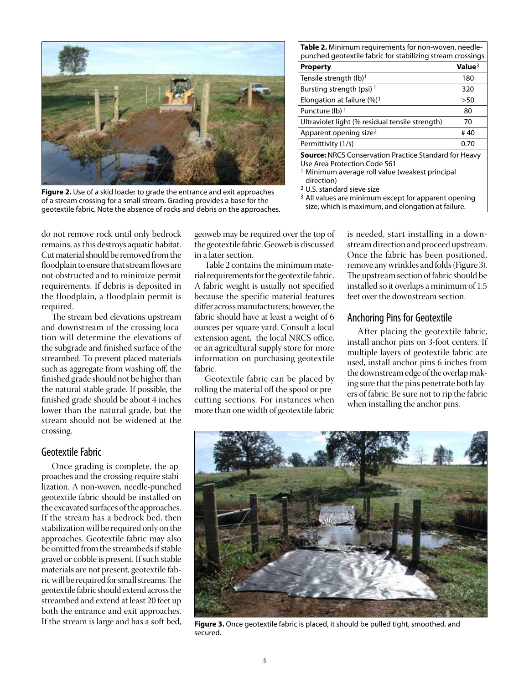

**Figure 2.** Use of a skid loader to grade the entrance and exit approaches of a stream crossing for a small stream. Grading provides a base for the geotextile fabric. Note the absence of rocks and debris on the approaches.

do not remove rock until only bedrock remains, as this destroys aquatic habitat. Cut material should be removed from the floodplain to ensure that stream flows are not obstructed and to minimize permit requirements. If debris is deposited in the floodplain, a floodplain permit is required.

The stream bed elevations upstream and downstream of the crossing location will determine the elevations of the subgrade and finished surface of the streambed. To prevent placed materials such as aggregate from washing off, the finished grade should not be higher than the natural stable grade. If possible, the finished grade should be about 4 inches lower than the natural grade, but the stream should not be widened at the crossing.

#### Geotextile Fabric

Once grading is complete, the approaches and the crossing require stabilization. A non-woven, needle-punched geotextile fabric should be installed on the excavated surfaces of the approaches. If the stream has a bedrock bed, then stabilization will be required only on the approaches. Geotextile fabric may also be omitted from the streambeds if stable gravel or cobble is present. If such stable materials are not present, geotextile fabric will be required for small streams. The geotextile fabric should extend across the streambed and extend at least 20 feet up both the entrance and exit approaches. If the stream is large and has a soft bed, geoweb may be required over the top of the geotextile fabric. Geoweb is discussed in a later section.

Table 2 contains the minimum material requirements for the geotextile fabric. A fabric weight is usually not specified because the specific material features differ across manufacturers; however, the fabric should have at least a weight of 6 ounces per square yard. Consult a local extension agent, the local NRCS office, or an agricultural supply store for more information on purchasing geotextile fabric.

Geotextile fabric can be placed by rolling the material off the spool or precutting sections. For instances when more than one width of geotextile fabric

| <b>Table 2.</b> Minimum requirements for non-woven, needle-<br>punched geotextile fabric for stabilizing stream crossings                                                                                                                                                            |  |
|--------------------------------------------------------------------------------------------------------------------------------------------------------------------------------------------------------------------------------------------------------------------------------------|--|
| Value <sup>3</sup>                                                                                                                                                                                                                                                                   |  |
| 180                                                                                                                                                                                                                                                                                  |  |
| 320                                                                                                                                                                                                                                                                                  |  |
| >50                                                                                                                                                                                                                                                                                  |  |
| 80                                                                                                                                                                                                                                                                                   |  |
| 70                                                                                                                                                                                                                                                                                   |  |
| #40                                                                                                                                                                                                                                                                                  |  |
| 0.70                                                                                                                                                                                                                                                                                 |  |
| <b>Source: NRCS Conservation Practice Standard for Heavy</b><br>Use Area Protection Code 561<br><sup>1</sup> Minimum average roll value (weakest principal<br>direction)<br><sup>2</sup> U.S. standard sieve size<br><sup>3</sup> All values are minimum except for apparent opening |  |
|                                                                                                                                                                                                                                                                                      |  |

size, which is maximum, and elongation at failure.

is needed, start installing in a downstream direction and proceed upstream. Once the fabric has been positioned, remove any wrinkles and folds (Figure 3). The upstream section of fabric should be installed so it overlaps a minimum of 1.5 feet over the downstream section.

#### Anchoring Pins for Geotextile

After placing the geotextile fabric, install anchor pins on 3-foot centers. If multiple layers of geotextile fabric are used, install anchor pins 6 inches from the downstream edge of the overlap making sure that the pins penetrate both layers of fabric. Be sure not to rip the fabric when installing the anchor pins.



**Figure 3.** Once geotextile fabric is placed, it should be pulled tight, smoothed, and secured.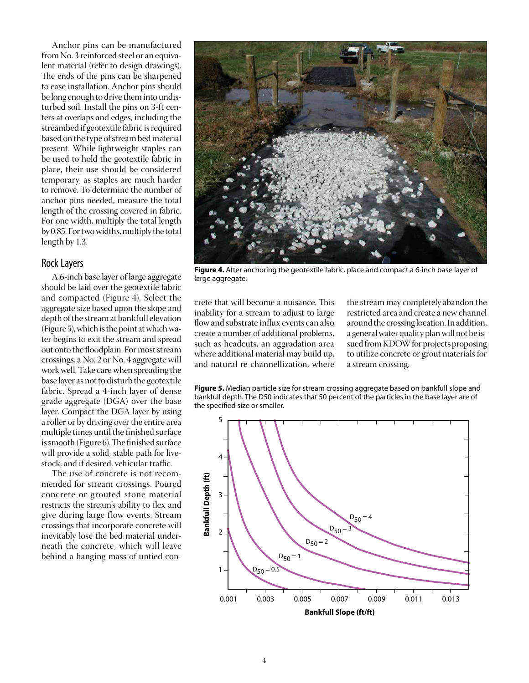Anchor pins can be manufactured from No. 3 reinforced steel or an equivalent material (refer to design drawings). The ends of the pins can be sharpened to ease installation. Anchor pins should be long enough to drive them into undisturbed soil. Install the pins on 3-ft centers at overlaps and edges, including the streambed if geotextile fabric is required based on the type of stream bed material present. While lightweight staples can be used to hold the geotextile fabric in place, their use should be considered temporary, as staples are much harder to remove. To determine the number of anchor pins needed, measure the total length of the crossing covered in fabric. For one width, multiply the total length by 0.85. For two widths, multiply the total length by 1.3.

#### Rock Layers

A 6-inch base layer of large aggregate should be laid over the geotextile fabric and compacted (Figure 4). Select the aggregate size based upon the slope and depth of the stream at bankfull elevation (Figure 5), which is the point at which water begins to exit the stream and spread out onto the floodplain. For most stream crossings, a No. 2 or No. 4 aggregate will work well. Take care when spreading the base layer as not to disturb the geotextile fabric. Spread a 4-inch layer of dense grade aggregate (DGA) over the base layer. Compact the DGA layer by using a roller or by driving over the entire area multiple times until the finished surface is smooth (Figure 6). The finished surface will provide a solid, stable path for livestock, and if desired, vehicular traffic.

The use of concrete is not recommended for stream crossings. Poured concrete or grouted stone material restricts the stream's ability to flex and give during large flow events. Stream crossings that incorporate concrete will inevitably lose the bed material underneath the concrete, which will leave behind a hanging mass of untied con-



**Figure 4.** After anchoring the geotextile fabric, place and compact a 6-inch base layer of large aggregate.

crete that will become a nuisance. This inability for a stream to adjust to large flow and substrate influx events can also create a number of additional problems, such as headcuts, an aggradation area where additional material may build up, and natural re-channellization, where

the stream may completely abandon the restricted area and create a new channel around the crossing location. In addition, a general water quality plan will not be issued from KDOW for projects proposing to utilize concrete or grout materials for a stream crossing.



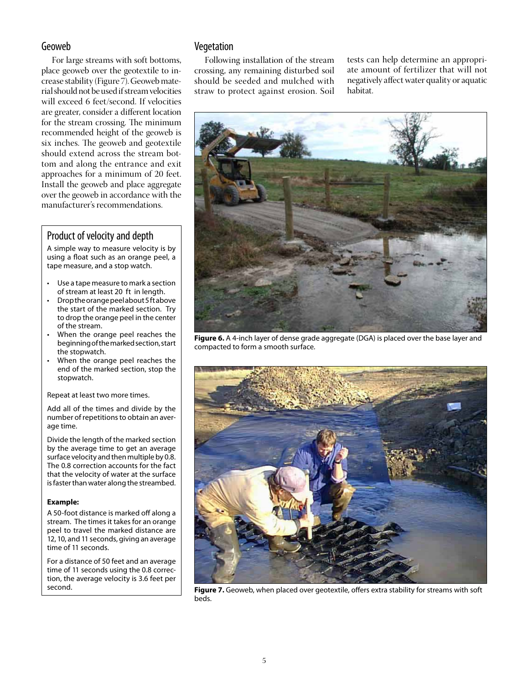## Geoweb

For large streams with soft bottoms, place geoweb over the geotextile to increase stability (Figure 7). Geoweb material should not be used if stream velocities will exceed 6 feet/second. If velocities are greater, consider a different location for the stream crossing. The minimum recommended height of the geoweb is six inches. The geoweb and geotextile should extend across the stream bottom and along the entrance and exit approaches for a minimum of 20 feet. Install the geoweb and place aggregate over the geoweb in accordance with the manufacturer's recommendations.

# Product of velocity and depth

A simple way to measure velocity is by using a float such as an orange peel, a tape measure, and a stop watch.

- Use a tape measure to mark a section of stream at least 20 ft in length.
- Drop the orange peel about 5 ft above the start of the marked section. Try to drop the orange peel in the center of the stream.
- When the orange peel reaches the beginning of the marked section, start the stopwatch.
- When the orange peel reaches the end of the marked section, stop the stopwatch.

Repeat at least two more times.

Add all of the times and divide by the number of repetitions to obtain an average time.

Divide the length of the marked section by the average time to get an average surface velocity and then multiple by 0.8. The 0.8 correction accounts for the fact that the velocity of water at the surface is faster than water along the streambed.

#### **Example:**

A 50-foot distance is marked off along a stream. The times it takes for an orange peel to travel the marked distance are 12, 10, and 11 seconds, giving an average time of 11 seconds.

For a distance of 50 feet and an average time of 11 seconds using the 0.8 correction, the average velocity is 3.6 feet per second.

## Vegetation

Following installation of the stream crossing, any remaining disturbed soil should be seeded and mulched with straw to protect against erosion. Soil

tests can help determine an appropriate amount of fertilizer that will not negatively affect water quality or aquatic habitat.



**Figure 6.** A 4-inch layer of dense grade aggregate (DGA) is placed over the base layer and compacted to form a smooth surface.



**Figure 7.** Geoweb, when placed over geotextile, offers extra stability for streams with soft beds.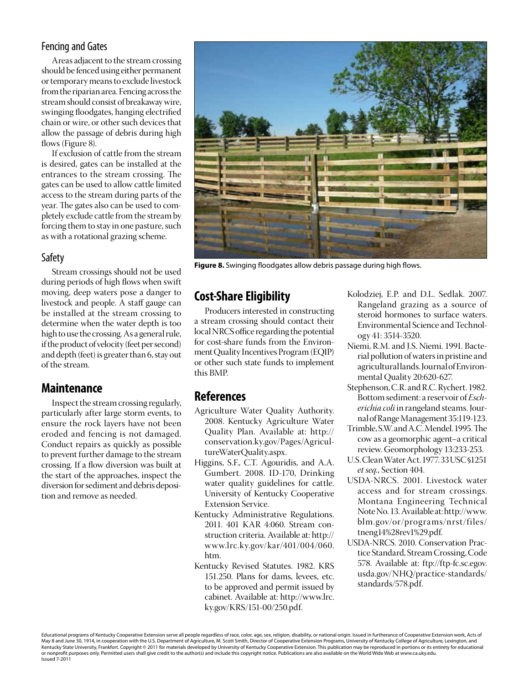# Fencing and Gates

Areas adjacent to the stream crossing should be fenced using either permanent or temporary means to exclude livestock from the riparian area. Fencing across the stream should consist of breakaway wire, swinging floodgates, hanging electrified chain or wire, or other such devices that allow the passage of debris during high flows (Figure 8).

If exclusion of cattle from the stream is desired, gates can be installed at the entrances to the stream crossing. The gates can be used to allow cattle limited access to the stream during parts of the year. The gates also can be used to completely exclude cattle from the stream by forcing them to stay in one pasture, such as with a rotational grazing scheme.

## Safety

Stream crossings should not be used during periods of high flows when swift moving, deep waters pose a danger to livestock and people. A staff gauge can be installed at the stream crossing to determine when the water depth is too high to use the crossing. As a general rule, if the product of velocity (feet per second) and depth (feet) is greater than 6, stay out of the stream.

# **Maintenance**

Inspect the stream crossing regularly, particularly after large storm events, to ensure the rock layers have not been eroded and fencing is not damaged. Conduct repairs as quickly as possible to prevent further damage to the stream crossing. If a flow diversion was built at the start of the approaches, inspect the diversion for sediment and debris deposition and remove as needed.



**Figure 8.** Swinging floodgates allow debris passage during high flows.

# **Cost-Share Eligibility**

Producers interested in constructing a stream crossing should contact their local NRCS office regarding the potential for cost-share funds from the Environment Quality Incentives Program (EQIP) or other such state funds to implement this BMP.

# **References**

- Agriculture Water Quality Authority. 2008. Kentucky Agriculture Water Quality Plan. Available at: http:// conservation.ky.gov/Pages/AgricultureWaterQuality.aspx.
- Higgins, S.F., C.T. Agouridis, and A.A. Gumbert. 2008. ID-170, Drinking water quality guidelines for cattle. University of Kentucky Cooperative Extension Service.
- Kentucky Administrative Regulations. 2011. 401 KAR 4:060. Stream construction criteria. Available at: http:// www.lrc.ky.gov/kar/401/004/060. htm.
- Kentucky Revised Statutes. 1982. KRS 151.250. Plans for dams, levees, etc. to be approved and permit issued by cabinet. Available at: http://www.lrc. ky.gov/KRS/151-00/250.pdf.
- Kolodziej, E.P. and D.L. Sedlak. 2007. Rangeland grazing as a source of steroid hormones to surface waters. Environmental Science and Technology 41: 3514-3520.
- Niemi, R.M. and J.S. Niemi. 1991. Bacterial pollution of waters in pristine and agricultural lands. Journal of Environmental Quality 20:620-627.
- Stephenson, C.R. and R.C. Rychert. 1982. Bottom sediment: a reservoir of *Escherichia coli* in rangeland steams. Journal of Range Management 35:119-123.
- Trimble, S.W. and A.C. Mendel. 1995. The cow as a geomorphic agent–a critical review. Geomorphology 13:233-253.
- U.S. Clean Water Act. 1977. 33 USC §1251 *et seq.*, Section 404.
- USDA-NRCS. 2001. Livestock water access and for stream crossings. Montana Engineering Technical Note No. 13. Available at: http://www. blm.gov/or/programs/nrst/files/ tneng14%28rev1%29.pdf.
- USDA-NRCS. 2010. Conservation Practice Standard, Stream Crossing, Code 578. Available at: ftp://ftp-fc.sc.egov. usda.gov/NHQ/practice-standards/ standards/578.pdf.

Educational programs of Kentucky Cooperative Extension serve all people regardless of race, color, age, sex, religion, disability, or national origin. Issued in furtherance of Cooperative Extension work, Acts of May 8 and June 30, 1914, in cooperation with the U.S. Department of Agriculture, M. Scott Smith, Director of Cooperative Extension Programs, University of Kentucky College of Agriculture, Lexington, and<br>Kentucky State Uni or nonprofit purposes only. Permitted users shall give credit to the author(s) and include this copyright notice. Publications are also available on the World Wide Web at www.ca.uky.edu. Issued 7-2011